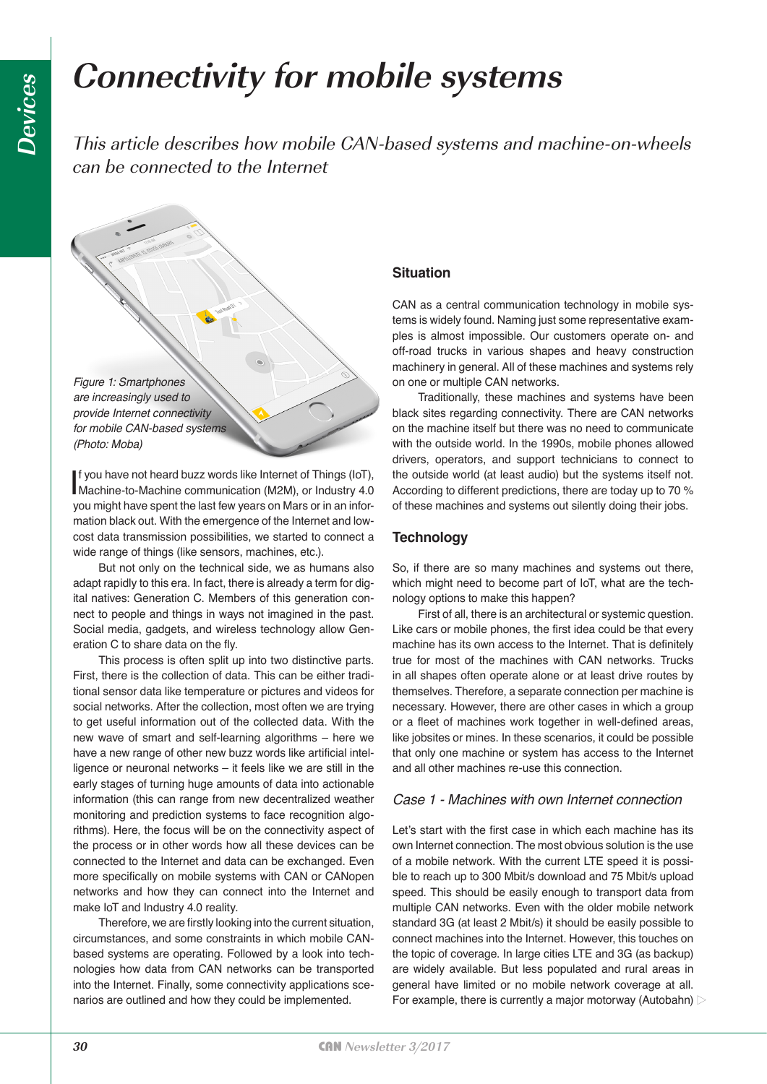# **Connectivity for mobile systems**

This article describes how mobile CAN-based systems and machine-on-wheels can be connected to the Internet

*Figure 1: Smartphones are increasingly used to provide Internet connectivity for mobile CAN-based systems (Photo: Moba)*

If you have not heard buzz words like Internet of Things (IoT),<br>Machine-to-Machine communication (M2M), or Industry 4.0<br>we wish have a partitive leat for we say a Mare animal inter-Machine-to-Machine communication (M2M), or Industry 4.0 you might have spent the last few years on Mars or in an information black out. With the emergence of the Internet and lowcost data transmission possibilities, we started to connect a wide range of things (like sensors, machines, etc.).

But not only on the technical side, we as humans also adapt rapidly to this era. In fact, there is already a term for digital natives: Generation C. Members of this generation connect to people and things in ways not imagined in the past. Social media, gadgets, and wireless technology allow Generation C to share data on the fly.

This process is often split up into two distinctive parts. First, there is the collection of data. This can be either traditional sensor data like temperature or pictures and videos for social networks. After the collection, most often we are trying to get useful information out of the collected data. With the new wave of smart and self-learning algorithms – here we have a new range of other new buzz words like artificial intelligence or neuronal networks – it feels like we are still in the early stages of turning huge amounts of data into actionable information (this can range from new decentralized weather monitoring and prediction systems to face recognition algorithms). Here, the focus will be on the connectivity aspect of the process or in other words how all these devices can be connected to the Internet and data can be exchanged. Even more specifically on mobile systems with CAN or CANopen networks and how they can connect into the Internet and make IoT and Industry 4.0 reality.

Therefore, we are firstly looking into the current situation, circumstances, and some constraints in which mobile CANbased systems are operating. Followed by a look into technologies how data from CAN networks can be transported into the Internet. Finally, some connectivity applications scenarios are outlined and how they could be implemented.

# **Situation**

CAN as a central communication technology in mobile systems is widely found. Naming just some representative examples is almost impossible. Our customers operate on- and off-road trucks in various shapes and heavy construction machinery in general. All of these machines and systems rely on one or multiple CAN networks.

Traditionally, these machines and systems have been black sites regarding connectivity. There are CAN networks on the machine itself but there was no need to communicate with the outside world. In the 1990s, mobile phones allowed drivers, operators, and support technicians to connect to the outside world (at least audio) but the systems itself not. According to different predictions, there are today up to 70 % of these machines and systems out silently doing their jobs.

# **Technology**

So, if there are so many machines and systems out there, which might need to become part of IoT, what are the technology options to make this happen?

First of all, there is an architectural or systemic question. Like cars or mobile phones, the first idea could be that every machine has its own access to the Internet. That is definitely true for most of the machines with CAN networks. Trucks in all shapes often operate alone or at least drive routes by themselves. Therefore, a separate connection per machine is necessary. However, there are other cases in which a group or a fleet of machines work together in well-defined areas, like jobsites or mines. In these scenarios, it could be possible that only one machine or system has access to the Internet and all other machines re-use this connection.

# *Case 1 - Machines with own Internet connection*

Let's start with the first case in which each machine has its own Internet connection. The most obvious solution is the use of a mobile network. With the current LTE speed it is possible to reach up to 300 Mbit/s download and 75 Mbit/s upload speed. This should be easily enough to transport data from multiple CAN networks. Even with the older mobile network standard 3G (at least 2 Mbit/s) it should be easily possible to connect machines into the Internet. However, this touches on the topic of coverage. In large cities LTE and 3G (as backup) are widely available. But less populated and rural areas in general have limited or no mobile network coverage at all. For example, there is currently a major motorway (Autobahn)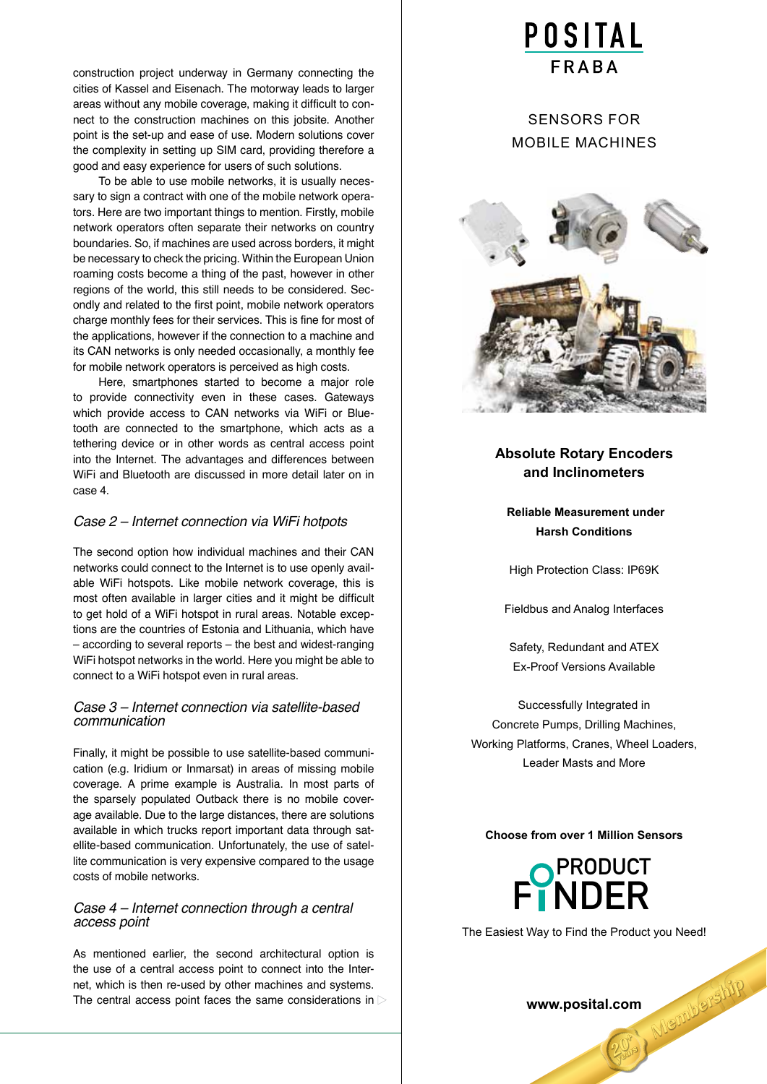construction project underway in Germany connecting the cities of Kassel and Eisenach. The motorway leads to larger areas without any mobile coverage, making it difficult to connect to the construction machines on this jobsite. Another point is the set-up and ease of use. Modern solutions cover the complexity in setting up SIM card, providing therefore a good and easy experience for users of such solutions.

To be able to use mobile networks, it is usually necessary to sign a contract with one of the mobile network operators. Here are two important things to mention. Firstly, mobile network operators often separate their networks on country boundaries. So, if machines are used across borders, it might be necessary to check the pricing. Within the European Union roaming costs become a thing of the past, however in other regions of the world, this still needs to be considered. Secondly and related to the first point, mobile network operators charge monthly fees for their services. This is fine for most of the applications, however if the connection to a machine and its CAN networks is only needed occasionally, a monthly fee for mobile network operators is perceived as high costs.

Here, smartphones started to become a major role to provide connectivity even in these cases. Gateways which provide access to CAN networks via WiFi or Bluetooth are connected to the smartphone, which acts as a tethering device or in other words as central access point into the Internet. The advantages and differences between WiFi and Bluetooth are discussed in more detail later on in case 4.

# *Case 2 – Internet connection via WiFi hotpots*

The second option how individual machines and their CAN networks could connect to the Internet is to use openly available WiFi hotspots. Like mobile network coverage, this is most often available in larger cities and it might be difficult to get hold of a WiFi hotspot in rural areas. Notable exceptions are the countries of Estonia and Lithuania, which have – according to several reports – the best and widest-ranging WiFi hotspot networks in the world. Here you might be able to connect to a WiFi hotspot even in rural areas.

### *Case 3 – Internet connection via satellite-based communication*

Finally, it might be possible to use satellite-based communication (e.g. Iridium or Inmarsat) in areas of missing mobile coverage. A prime example is Australia. In most parts of the sparsely populated Outback there is no mobile coverage available. Due to the large distances, there are solutions available in which trucks report important data through satellite-based communication. Unfortunately, the use of satellite communication is very expensive compared to the usage costs of mobile networks.

### *Case 4 – Internet connection through a central access point*

As mentioned earlier, the second architectural option is the use of a central access point to connect into the Internet, which is then re-used by other machines and systems. The central access point faces the same considerations in  $\triangleright$ 

# **POSITAL**

# SeNSorS For MoBIle MACHINeS



# **Absolute Rotary Encoders and Inclinometers**

 **Reliable Measurement under Harsh Conditions**

High Protection Class: IP69K

Fieldbus and Analog Interfaces

Safety, Redundant and ATEX **Ex-Proof Versions Available** 

Successfully Integrated in Concrete Pumps, Drilling Machines, Working Platforms, Cranes, Wheel loaders, leader Masts and More

#### **Choose from over 1 Million Sensors**



The Easiest Way to Find the Product you Need!

www.posital.com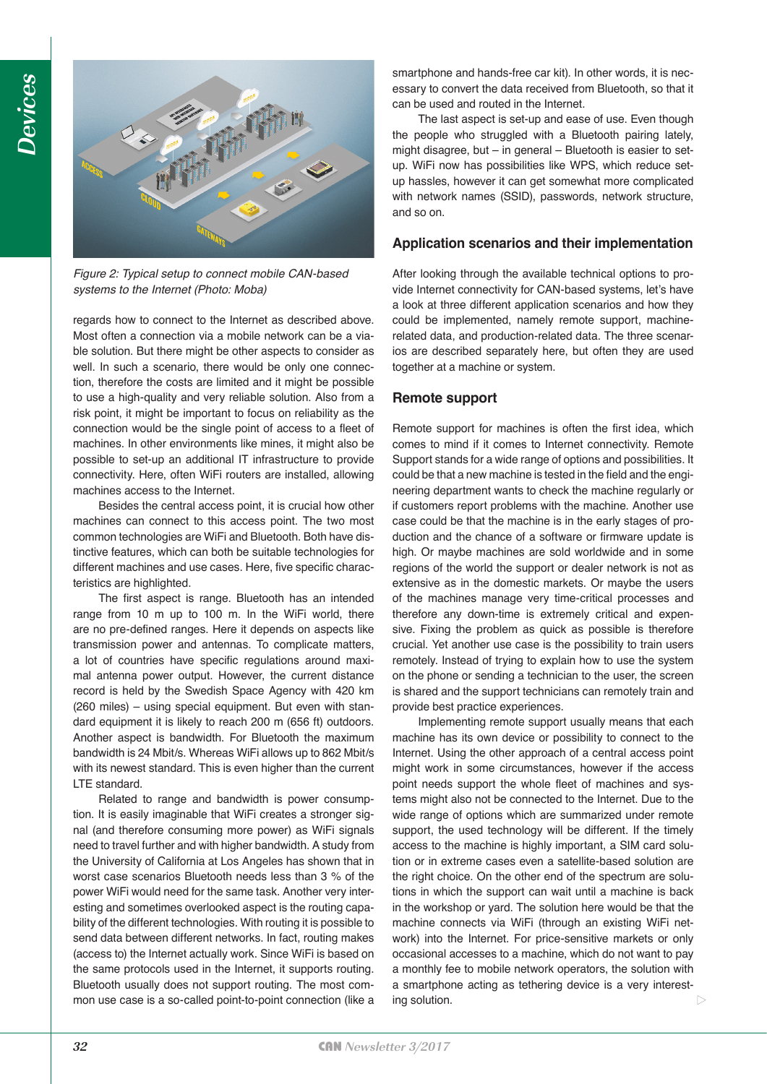

*Figure 2: Typical setup to connect mobile CAN-based systems to the Internet (Photo: Moba)*

regards how to connect to the Internet as described above. Most often a connection via a mobile network can be a viable solution. But there might be other aspects to consider as well. In such a scenario, there would be only one connection, therefore the costs are limited and it might be possible to use a high-quality and very reliable solution. Also from a risk point, it might be important to focus on reliability as the connection would be the single point of access to a fleet of machines. In other environments like mines, it might also be possible to set-up an additional IT infrastructure to provide connectivity. Here, often WiFi routers are installed, allowing machines access to the Internet.

Besides the central access point, it is crucial how other machines can connect to this access point. The two most common technologies are WiFi and Bluetooth. Both have distinctive features, which can both be suitable technologies for different machines and use cases. Here, five specific characteristics are highlighted.

The first aspect is range. Bluetooth has an intended range from 10 m up to 100 m. In the WiFi world, there are no pre-defined ranges. Here it depends on aspects like transmission power and antennas. To complicate matters, a lot of countries have specific regulations around maximal antenna power output. However, the current distance record is held by the Swedish Space Agency with 420 km (260 miles) – using special equipment. But even with standard equipment it is likely to reach 200 m (656 ft) outdoors. Another aspect is bandwidth. For Bluetooth the maximum bandwidth is 24 Mbit/s. Whereas WiFi allows up to 862 Mbit/s with its newest standard. This is even higher than the current LTE standard.

Related to range and bandwidth is power consumption. It is easily imaginable that WiFi creates a stronger signal (and therefore consuming more power) as WiFi signals need to travel further and with higher bandwidth. A study from the University of California at Los Angeles has shown that in worst case scenarios Bluetooth needs less than 3 % of the power WiFi would need for the same task. Another very interesting and sometimes overlooked aspect is the routing capability of the different technologies. With routing it is possible to send data between different networks. In fact, routing makes (access to) the Internet actually work. Since WiFi is based on the same protocols used in the Internet, it supports routing. Bluetooth usually does not support routing. The most common use case is a so-called point-to-point connection (like a smartphone and hands-free car kit). In other words, it is necessary to convert the data received from Bluetooth, so that it can be used and routed in the Internet.

The last aspect is set-up and ease of use. Even though the people who struggled with a Bluetooth pairing lately, might disagree, but – in general – Bluetooth is easier to setup. WiFi now has possibilities like WPS, which reduce setup hassles, however it can get somewhat more complicated with network names (SSID), passwords, network structure, and so on.

# **Application scenarios and their implementation**

After looking through the available technical options to provide Internet connectivity for CAN-based systems, let's have a look at three different application scenarios and how they could be implemented, namely remote support, machinerelated data, and production-related data. The three scenarios are described separately here, but often they are used together at a machine or system.

# **Remote support**

Remote support for machines is often the first idea, which comes to mind if it comes to Internet connectivity. Remote Support stands for a wide range of options and possibilities. It could be that a new machine is tested in the field and the engineering department wants to check the machine regularly or if customers report problems with the machine. Another use case could be that the machine is in the early stages of production and the chance of a software or firmware update is high. Or maybe machines are sold worldwide and in some regions of the world the support or dealer network is not as extensive as in the domestic markets. Or maybe the users of the machines manage very time-critical processes and therefore any down-time is extremely critical and expensive. Fixing the problem as quick as possible is therefore crucial. Yet another use case is the possibility to train users remotely. Instead of trying to explain how to use the system on the phone or sending a technician to the user, the screen is shared and the support technicians can remotely train and provide best practice experiences.

Implementing remote support usually means that each machine has its own device or possibility to connect to the Internet. Using the other approach of a central access point might work in some circumstances, however if the access point needs support the whole fleet of machines and systems might also not be connected to the Internet. Due to the wide range of options which are summarized under remote support, the used technology will be different. If the timely access to the machine is highly important, a SIM card solution or in extreme cases even a satellite-based solution are the right choice. On the other end of the spectrum are solutions in which the support can wait until a machine is back in the workshop or yard. The solution here would be that the machine connects via WiFi (through an existing WiFi network) into the Internet. For price-sensitive markets or only occasional accesses to a machine, which do not want to pay a monthly fee to mobile network operators, the solution with a smartphone acting as tethering device is a very interesting solution.  $\triangleright$